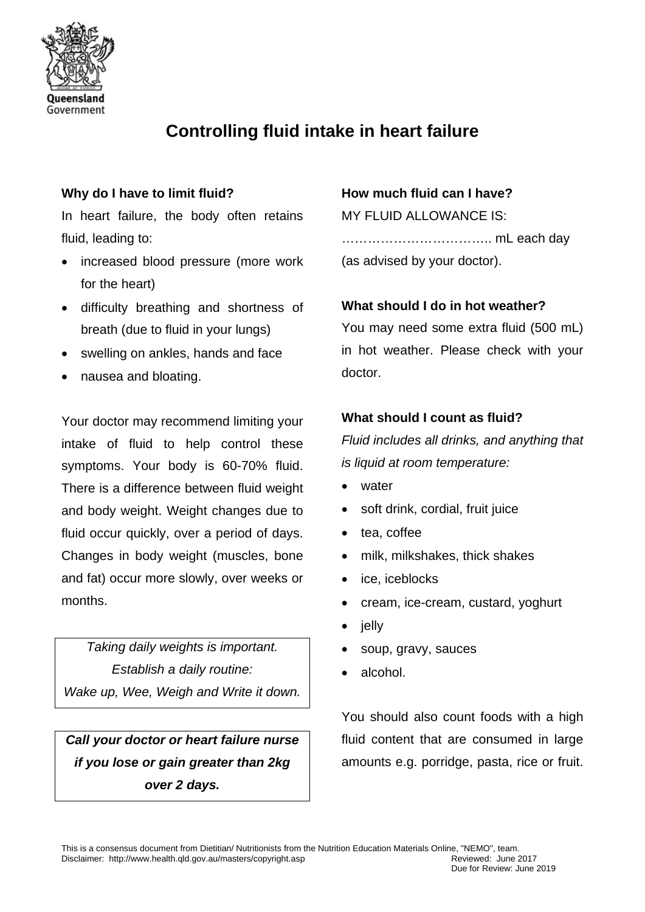

# **Controlling fluid intake in heart failure**

# **Why do I have to limit fluid?**

In heart failure, the body often retains fluid, leading to:

- increased blood pressure (more work for the heart)
- difficulty breathing and shortness of breath (due to fluid in your lungs)
- swelling on ankles, hands and face
- nausea and bloating.

Your doctor may recommend limiting your intake of fluid to help control these symptoms. Your body is 60-70% fluid. There is a difference between fluid weight and body weight. Weight changes due to fluid occur quickly, over a period of days. Changes in body weight (muscles, bone and fat) occur more slowly, over weeks or months.

*Taking daily weights is important. Establish a daily routine: Wake up, Wee, Weigh and Write it down.*

# *Call your doctor or heart failure nurse if you lose or gain greater than 2kg over 2 days.*

### **How much fluid can I have?**

MY FLUID ALLOWANCE IS: …………………………….. mL each day (as advised by your doctor).

#### **What should I do in hot weather?**

You may need some extra fluid (500 mL) in hot weather. Please check with your doctor.

## **What should I count as fluid?**

*Fluid includes all drinks, and anything that is liquid at room temperature:*

- water
- soft drink, cordial, fruit juice
- tea, coffee
- milk, milkshakes, thick shakes
- ice, iceblocks
- cream, ice-cream, custard, yoghurt
- jelly
- soup, gravy, sauces
- alcohol.

You should also count foods with a high fluid content that are consumed in large amounts e.g. porridge, pasta, rice or fruit.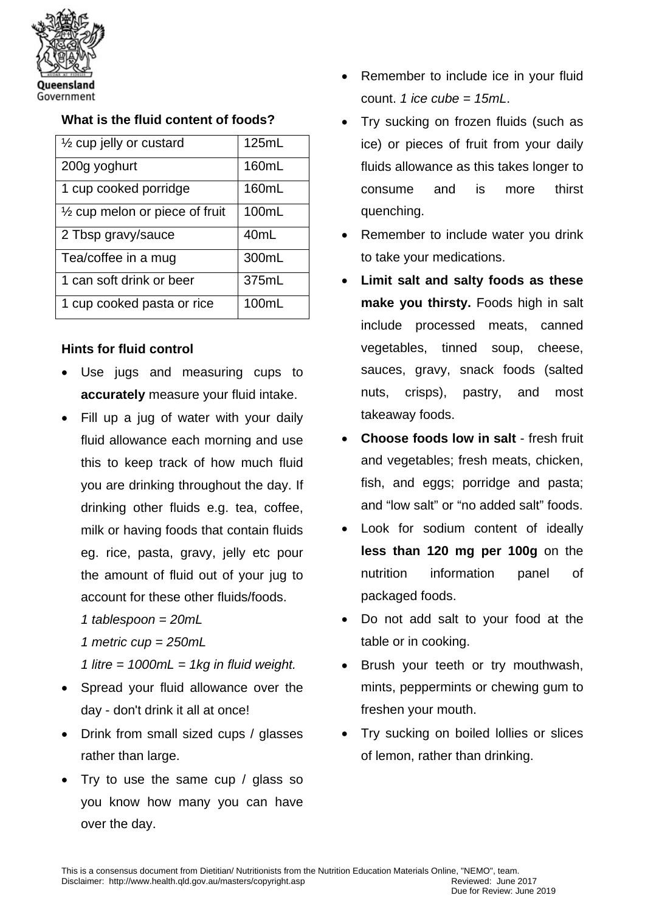

#### **What is the fluid content of foods?**

| $\frac{1}{2}$ cup jelly or custard | 125mL            |
|------------------------------------|------------------|
| 200g yoghurt                       | 160mL            |
| 1 cup cooked porridge              | 160mL            |
| 1/2 cup melon or piece of fruit    | 100mL            |
| 2 Tbsp gravy/sauce                 | 40 <sub>mL</sub> |
| Tea/coffee in a mug                | 300mL            |
| 1 can soft drink or beer           | 375mL            |
| 1 cup cooked pasta or rice         | 100mL            |

#### **Hints for fluid control**

- Use jugs and measuring cups to **accurately** measure your fluid intake.
- Fill up a jug of water with your daily fluid allowance each morning and use this to keep track of how much fluid you are drinking throughout the day. If drinking other fluids e.g. tea, coffee, milk or having foods that contain fluids eg. rice, pasta, gravy, jelly etc pour the amount of fluid out of your jug to account for these other fluids/foods.
	- *1 tablespoon = 20mL*
	- *1 metric cup = 250mL*
	- *1 litre = 1000mL = 1kg in fluid weight.*
- Spread your fluid allowance over the day - don't drink it all at once!
- Drink from small sized cups / glasses rather than large.
- Try to use the same cup / glass so you know how many you can have over the day.
- Remember to include ice in your fluid count. *1 ice cube = 15mL*.
- Try sucking on frozen fluids (such as ice) or pieces of fruit from your daily fluids allowance as this takes longer to consume and is more thirst quenching.
- Remember to include water you drink to take your medications.
- **Limit salt and salty foods as these make you thirsty.** Foods high in salt include processed meats, canned vegetables, tinned soup, cheese, sauces, gravy, snack foods (salted nuts, crisps), pastry, and most takeaway foods.
- **Choose foods low in salt** fresh fruit and vegetables; fresh meats, chicken, fish, and eggs; porridge and pasta; and "low salt" or "no added salt" foods.
- Look for sodium content of ideally **less than 120 mg per 100g on the** nutrition information panel of packaged foods.
- Do not add salt to your food at the table or in cooking.
- Brush your teeth or try mouthwash, mints, peppermints or chewing gum to freshen your mouth.
- Try sucking on boiled lollies or slices of lemon, rather than drinking.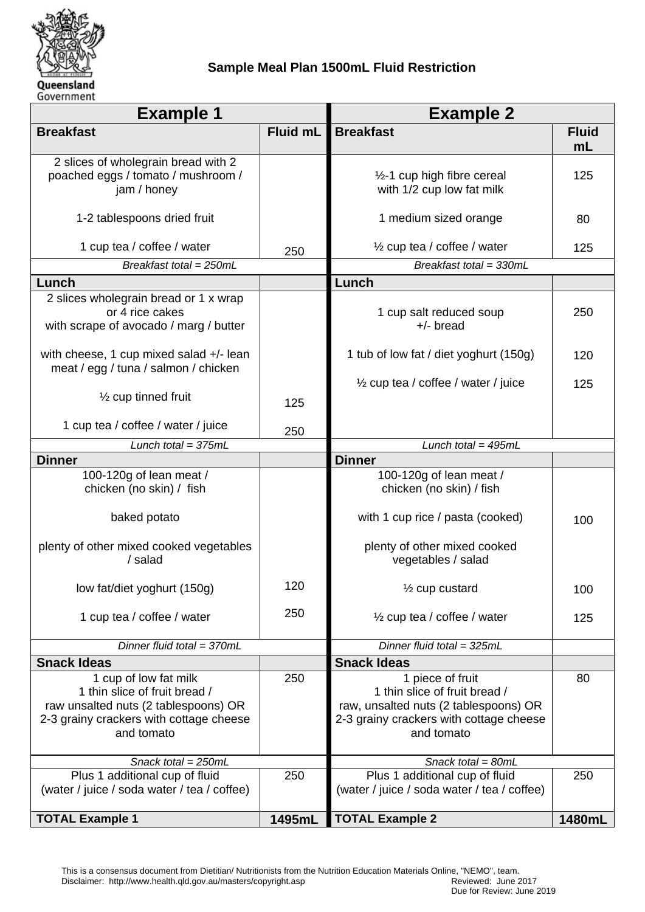

## **Sample Meal Plan 1500mL Fluid Restriction**

| <b>Example 1</b>                                                                                                                                        |          | <b>Example 2</b>                                                                                                                                    |                    |
|---------------------------------------------------------------------------------------------------------------------------------------------------------|----------|-----------------------------------------------------------------------------------------------------------------------------------------------------|--------------------|
| <b>Breakfast</b>                                                                                                                                        | Fluid mL | <b>Breakfast</b>                                                                                                                                    | <b>Fluid</b><br>mL |
| 2 slices of wholegrain bread with 2<br>poached eggs / tomato / mushroom /<br>jam / honey                                                                |          | 1/2-1 cup high fibre cereal<br>with 1/2 cup low fat milk                                                                                            | 125                |
| 1-2 tablespoons dried fruit                                                                                                                             |          | 1 medium sized orange                                                                                                                               | 80                 |
| 1 cup tea / coffee / water                                                                                                                              | 250      | $\frac{1}{2}$ cup tea / coffee / water                                                                                                              | 125                |
| Breakfast total = 250mL                                                                                                                                 |          | Breakfast total = 330mL                                                                                                                             |                    |
| Lunch                                                                                                                                                   |          | Lunch                                                                                                                                               |                    |
| 2 slices wholegrain bread or 1 x wrap<br>or 4 rice cakes<br>with scrape of avocado / marg / butter                                                      |          | 1 cup salt reduced soup<br>$+/-$ bread                                                                                                              | 250                |
| with cheese, 1 cup mixed salad +/- lean<br>meat / egg / tuna / salmon / chicken                                                                         |          | 1 tub of low fat / diet yoghurt (150g)                                                                                                              | 120                |
| 1/ <sub>2</sub> cup tinned fruit                                                                                                                        | 125      | $\frac{1}{2}$ cup tea / coffee / water / juice                                                                                                      | 125                |
| 1 cup tea / coffee / water / juice                                                                                                                      | 250      |                                                                                                                                                     |                    |
| Lunch total = $375mL$                                                                                                                                   |          | Lunch total = $495mL$                                                                                                                               |                    |
| <b>Dinner</b>                                                                                                                                           |          | <b>Dinner</b>                                                                                                                                       |                    |
| 100-120g of lean meat /<br>chicken (no skin) / fish                                                                                                     |          | 100-120g of lean meat /<br>chicken (no skin) / fish                                                                                                 |                    |
| baked potato                                                                                                                                            |          | with 1 cup rice / pasta (cooked)                                                                                                                    | 100                |
| plenty of other mixed cooked vegetables<br>/ salad                                                                                                      |          | plenty of other mixed cooked<br>vegetables / salad                                                                                                  |                    |
| low fat/diet yoghurt (150g)                                                                                                                             | 120      | 1/ <sub>2</sub> cup custard                                                                                                                         | 100                |
| 1 cup tea / coffee / water                                                                                                                              | 250      | $\frac{1}{2}$ cup tea / coffee / water                                                                                                              | 125                |
| Dinner fluid total = 370mL                                                                                                                              |          | Dinner fluid total = $325mL$                                                                                                                        |                    |
| <b>Snack Ideas</b>                                                                                                                                      |          | <b>Snack Ideas</b>                                                                                                                                  |                    |
| 1 cup of low fat milk<br>1 thin slice of fruit bread /<br>raw unsalted nuts (2 tablespoons) OR<br>2-3 grainy crackers with cottage cheese<br>and tomato | 250      | 1 piece of fruit<br>1 thin slice of fruit bread /<br>raw, unsalted nuts (2 tablespoons) OR<br>2-3 grainy crackers with cottage cheese<br>and tomato | 80                 |
| Snack total = 250mL                                                                                                                                     |          | Snack total = $80mL$                                                                                                                                |                    |
| Plus 1 additional cup of fluid<br>(water / juice / soda water / tea / coffee)                                                                           | 250      | Plus 1 additional cup of fluid<br>250<br>(water / juice / soda water / tea / coffee)                                                                |                    |
| <b>TOTAL Example 1</b>                                                                                                                                  | 1495mL   | <b>TOTAL Example 2</b>                                                                                                                              | 1480mL             |